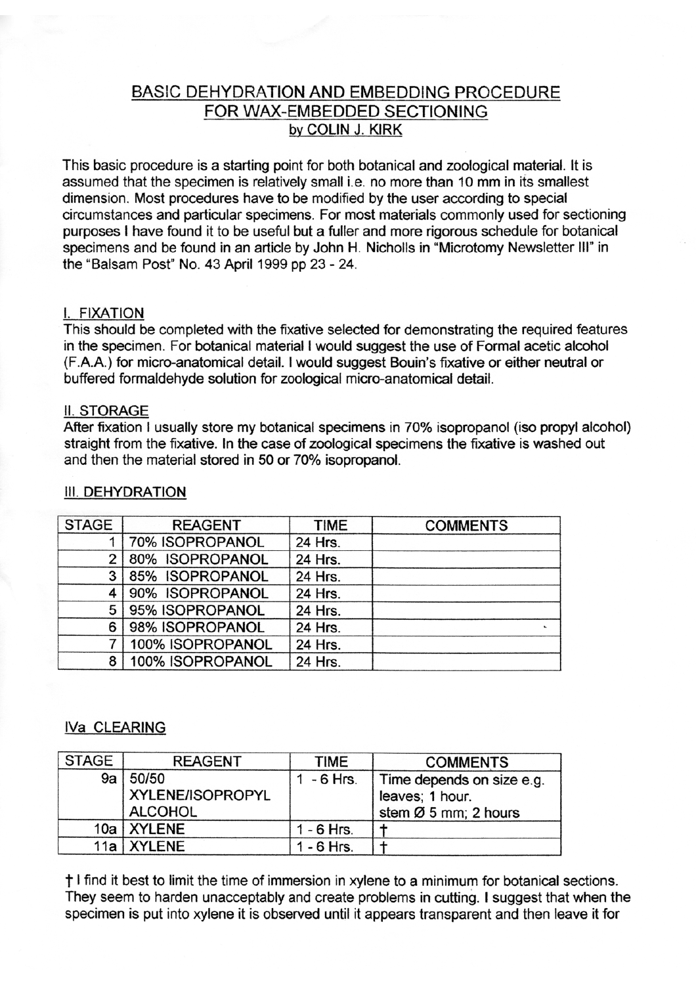# BASIC DEHYDRATION AND EMBEDDING PROCEDURE FOR WAX-EMBEDDED SECTIONING by COLIN J. KIRK

This basic procedure is a starting point for both botanical and zoological material. lt is assumed that the specimen is relatively small i.e. no more than 10 mm in its smallest dimension. Most procedures have to be modified by the user according to special circumstances and particular specimens. For most materials commonly used for sectioning purposes I have found it to be useful but a fuller and more rigorous schedule for botanical specimens and be found in an article by John H. Nicholls in "Microtomy Newsletter Ill" in the "Balsam Post" No. 43 April 1999 pp 23 - 24.

#### I. FIXATION

This should be completed with the fixative selected for demonstrating the required features in the specimen. For botanical material I would suggest the use of Formal acetic alcohol (F.A.A.) for micro-anatomical detail. I would suggest Bouin's fixative or either neutral or buffered formaldehyde solution for zoological micro-anatomical detail.

#### **II. STORAGE**

After fixation I usually store my botanical specimens in 70% isopropanol (iso propyl alcohol) straight from the fixative. In the case of zoological specimens the fixative is washed out and then the material stored in 50 or 70% isopropanol.

| <b>STAGE</b> | <b>REAGENT</b>   | <b>TIME</b> | <b>COMMENTS</b> |
|--------------|------------------|-------------|-----------------|
|              | 70% ISOPROPANOL  | 24 Hrs.     |                 |
| 2            | 80% ISOPROPANOL  | 24 Hrs.     |                 |
| 3            | 85% ISOPROPANOL  | 24 Hrs.     |                 |
|              | 90% ISOPROPANOL  | 24 Hrs.     |                 |
| 5            | 95% ISOPROPANOL  | 24 Hrs.     |                 |
| 6            | 98% ISOPROPANOL  | 24 Hrs.     |                 |
|              | 100% ISOPROPANOL | 24 Hrs.     |                 |
| 8            | 100% ISOPROPANOL | 24 Hrs.     |                 |

#### **III. DEHYDRATION**

### IVa CLEARING

| <b>STAGE</b> | <b>REAGENT</b>   | TIME         | <b>COMMENTS</b>           |
|--------------|------------------|--------------|---------------------------|
| 9a l         | 50/50            | - 6 Hrs.     | Time depends on size e.g. |
|              | XYLENE/ISOPROPYL |              | leaves; 1 hour.           |
|              | <b>ALCOHOL</b>   |              | stem Ø 5 mm; 2 hours      |
|              | 10a   XYLENE     | $1 - 6$ Hrs. |                           |
|              | 11a   XYLENE     | 1 - 6 Hrs.   |                           |

t I find it best to limit the time of immersion in xylene to a minimum for botanical sections. They seem to harden unacceptably and create problems in cutting. I suggest that when the specimen is put into xylene it is observed until it appears transparent and then leave it for